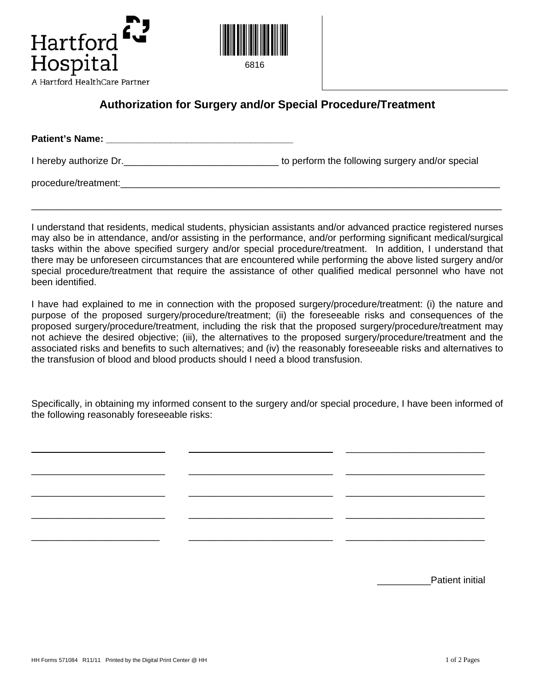



6816

## **Authorization for Surgery and/or Special Procedure/Treatment**

| <b>Patient's Name:</b> |                                                 |
|------------------------|-------------------------------------------------|
| I hereby authorize Dr. | to perform the following surgery and/or special |
| procedure/treatment:   |                                                 |

I understand that residents, medical students, physician assistants and/or advanced practice registered nurses may also be in attendance, and/or assisting in the performance, and/or performing significant medical/surgical tasks within the above specified surgery and/or special procedure/treatment. In addition, I understand that there may be unforeseen circumstances that are encountered while performing the above listed surgery and/or special procedure/treatment that require the assistance of other qualified medical personnel who have not been identified.

\_\_\_\_\_\_\_\_\_\_\_\_\_\_\_\_\_\_\_\_\_\_\_\_\_\_\_\_\_\_\_\_\_\_\_\_\_\_\_\_\_\_\_\_\_\_\_\_\_\_\_\_\_\_\_\_\_\_\_\_\_\_\_\_\_\_\_\_\_\_\_\_\_\_\_\_\_\_\_\_\_\_\_\_\_\_\_\_

I have had explained to me in connection with the proposed surgery/procedure/treatment: (i) the nature and purpose of the proposed surgery/procedure/treatment; (ii) the foreseeable risks and consequences of the proposed surgery/procedure/treatment, including the risk that the proposed surgery/procedure/treatment may not achieve the desired objective; (iii), the alternatives to the proposed surgery/procedure/treatment and the associated risks and benefits to such alternatives; and (iv) the reasonably foreseeable risks and alternatives to the transfusion of blood and blood products should I need a blood transfusion.

Specifically, in obtaining my informed consent to the surgery and/or special procedure, I have been informed of the following reasonably foreseeable risks:

\_\_\_\_\_\_\_\_\_\_\_\_\_\_\_\_\_\_\_\_\_\_\_\_\_\_

\_\_\_\_\_\_\_\_\_\_\_\_\_\_\_\_\_\_\_\_\_\_\_\_\_ \_\_\_\_\_\_\_\_\_\_\_\_\_\_\_\_\_\_\_\_\_\_\_\_\_\_\_ \_\_\_\_\_\_\_\_\_\_\_\_\_\_\_\_\_\_\_\_\_\_\_\_\_\_

\_\_\_\_\_\_\_\_\_\_\_\_\_\_\_\_\_\_\_\_\_\_\_\_\_ \_\_\_\_\_\_\_\_\_\_\_\_\_\_\_\_\_\_\_\_\_\_\_\_\_\_\_ \_\_\_\_\_\_\_\_\_\_\_\_\_\_\_\_\_\_\_\_\_\_\_\_\_\_

\_\_\_\_\_\_\_\_\_\_\_\_\_\_\_\_\_\_\_\_\_\_\_\_\_ \_\_\_\_\_\_\_\_\_\_\_\_\_\_\_\_\_\_\_\_\_\_\_\_\_\_\_ \_\_\_\_\_\_\_\_\_\_\_\_\_\_\_\_\_\_\_\_\_\_\_\_\_\_

\_\_\_\_\_\_\_\_\_\_\_\_\_\_\_\_\_\_\_\_\_\_\_\_ \_\_\_\_\_\_\_\_\_\_\_\_\_\_\_\_\_\_\_\_\_\_\_\_\_\_\_ \_\_\_\_\_\_\_\_\_\_\_\_\_\_\_\_\_\_\_\_\_\_\_\_\_\_

Patient initial